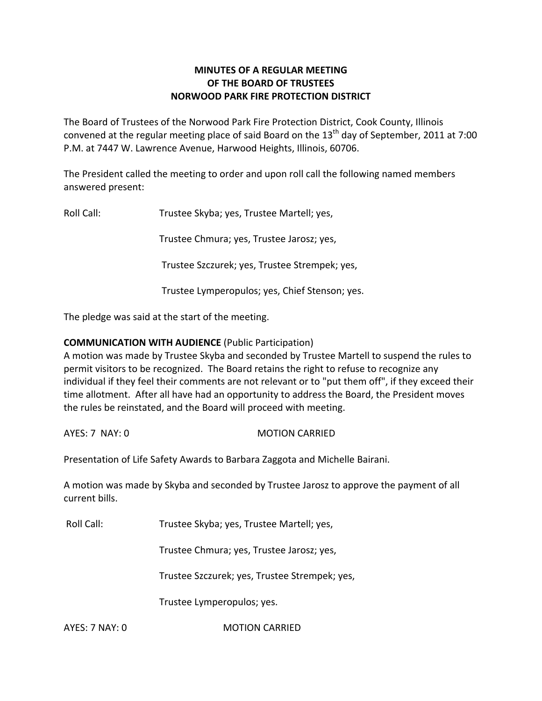# **MINUTES OF A REGULAR MEETING OF THE BOARD OF TRUSTEES NORWOOD PARK FIRE PROTECTION DISTRICT**

The Board of Trustees of the Norwood Park Fire Protection District, Cook County, Illinois convened at the regular meeting place of said Board on the  $13<sup>th</sup>$  day of September, 2011 at 7:00 P.M. at 7447 W. Lawrence Avenue, Harwood Heights, Illinois, 60706.

The President called the meeting to order and upon roll call the following named members answered present:

Roll Call: Trustee Skyba; yes, Trustee Martell; yes,

Trustee Chmura; yes, Trustee Jarosz; yes,

Trustee Szczurek; yes, Trustee Strempek; yes,

Trustee Lymperopulos; yes, Chief Stenson; yes.

The pledge was said at the start of the meeting.

# **COMMUNICATION WITH AUDIENCE** (Public Participation)

A motion was made by Trustee Skyba and seconded by Trustee Martell to suspend the rules to permit visitors to be recognized. The Board retains the right to refuse to recognize any individual if they feel their comments are not relevant or to "put them off", if they exceed their time allotment. After all have had an opportunity to address the Board, the President moves the rules be reinstated, and the Board will proceed with meeting.

AYES: 7 NAY: 0 MOTION CARRIED

Presentation of Life Safety Awards to Barbara Zaggota and Michelle Bairani.

A motion was made by Skyba and seconded by Trustee Jarosz to approve the payment of all current bills.

Roll Call: Trustee Skyba; yes, Trustee Martell; yes,

Trustee Chmura; yes, Trustee Jarosz; yes,

Trustee Szczurek; yes, Trustee Strempek; yes,

Trustee Lymperopulos; yes.

AYES: 7 NAY: 0 **MOTION CARRIED**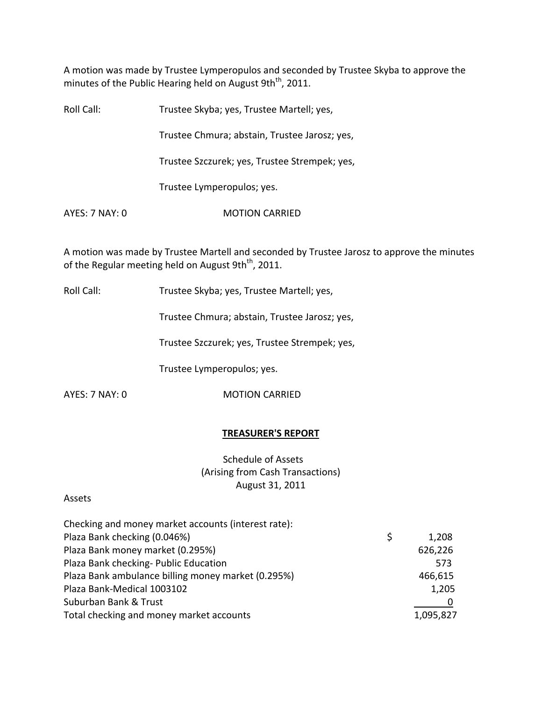A motion was made by Trustee Lymperopulos and seconded by Trustee Skyba to approve the minutes of the Public Hearing held on August 9th<sup>th</sup>, 2011.

| Roll Call:     | Trustee Skyba; yes, Trustee Martell; yes,     |
|----------------|-----------------------------------------------|
|                | Trustee Chmura; abstain, Trustee Jarosz; yes, |
|                | Trustee Szczurek; yes, Trustee Strempek; yes, |
|                | Trustee Lymperopulos; yes.                    |
| AYES: 7 NAY: 0 | <b>MOTION CARRIED</b>                         |
|                |                                               |

A motion was made by Trustee Martell and seconded by Trustee Jarosz to approve the minutes of the Regular meeting held on August 9th<sup>th</sup>, 2011.

Roll Call: Trustee Skyba; yes, Trustee Martell; yes,

Trustee Chmura; abstain, Trustee Jarosz; yes,

Trustee Szczurek; yes, Trustee Strempek; yes,

Trustee Lymperopulos; yes.

AYES: 7 NAY: 0 MOTION CARRIED

### **TREASURER'S REPORT**

Schedule of Assets (Arising from Cash Transactions) August 31, 2011

### Assets

| Checking and money market accounts (interest rate): |    |           |
|-----------------------------------------------------|----|-----------|
| Plaza Bank checking (0.046%)                        | Ŝ. | 1,208     |
| Plaza Bank money market (0.295%)                    |    | 626,226   |
| Plaza Bank checking- Public Education               |    | 573       |
| Plaza Bank ambulance billing money market (0.295%)  |    | 466,615   |
| Plaza Bank-Medical 1003102                          |    | 1,205     |
| Suburban Bank & Trust                               |    |           |
| Total checking and money market accounts            |    | 1,095,827 |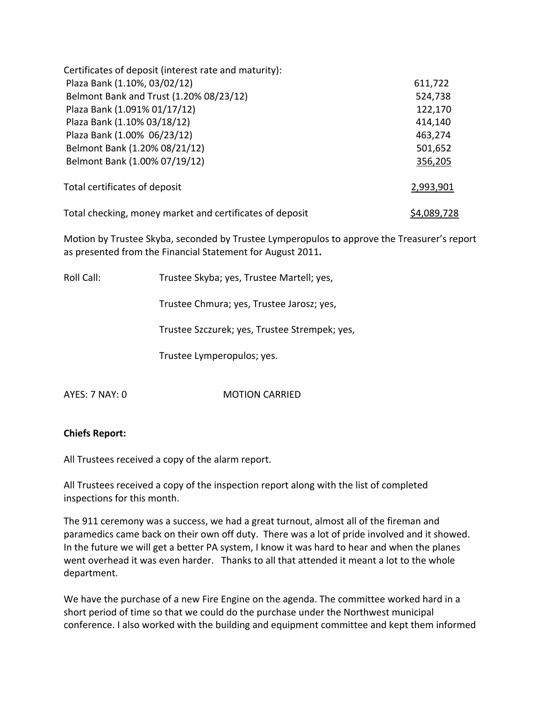| Certificates of deposit (interest rate and maturity):    |             |
|----------------------------------------------------------|-------------|
| Plaza Bank (1.10%, 03/02/12)                             | 611,722     |
| Belmont Bank and Trust (1.20% 08/23/12)                  | 524,738     |
| Plaza Bank (1.091% 01/17/12)                             | 122,170     |
| Plaza Bank (1.10% 03/18/12)                              | 414,140     |
| Plaza Bank (1.00% 06/23/12)                              | 463,274     |
| Belmont Bank (1.20% 08/21/12)                            | 501,652     |
| Belmont Bank (1.00% 07/19/12)                            | 356,205     |
| Total certificates of deposit                            | 2,993,901   |
| Total checking, money market and certificates of deposit | \$4,089,728 |

Motion by Trustee Skyba, seconded by Trustee Lymperopulos to approve the Treasurer's report as presented from the Financial Statement for August 2011**.**

| Roll Call: | Trustee Skyba; yes, Trustee Martell; yes,     |
|------------|-----------------------------------------------|
|            | Trustee Chmura; yes, Trustee Jarosz; yes,     |
|            | Trustee Szczurek; yes, Trustee Strempek; yes, |
|            | Trustee Lymperopulos; yes.                    |
|            |                                               |

AYES: 7 NAY: 0 **MOTION CARRIED** 

# **Chiefs Report:**

All Trustees received a copy of the alarm report.

All Trustees received a copy of the inspection report along with the list of completed inspections for this month.

The 911 ceremony was a success, we had a great turnout, almost all of the fireman and paramedics came back on their own off duty. There was a lot of pride involved and it showed. In the future we will get a better PA system, I know it was hard to hear and when the planes went overhead it was even harder. Thanks to all that attended it meant a lot to the whole department.

We have the purchase of a new Fire Engine on the agenda. The committee worked hard in a short period of time so that we could do the purchase under the Northwest municipal conference. I also worked with the building and equipment committee and kept them informed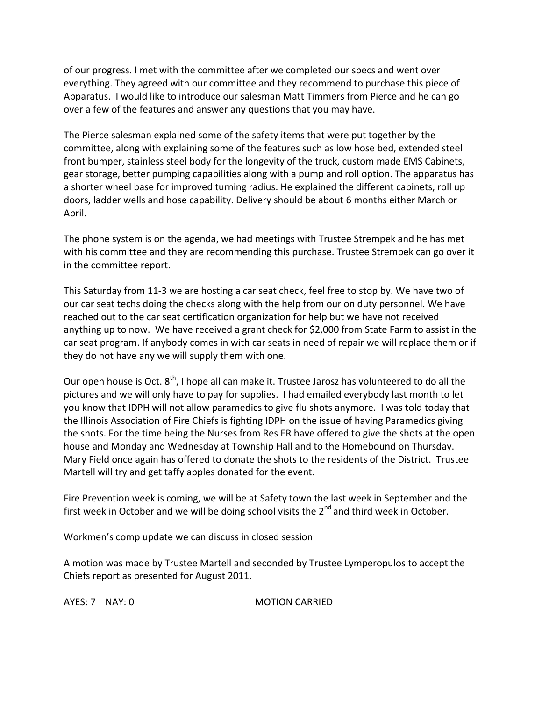of our progress. I met with the committee after we completed our specs and went over everything. They agreed with our committee and they recommend to purchase this piece of Apparatus. I would like to introduce our salesman Matt Timmers from Pierce and he can go over a few of the features and answer any questions that you may have.

The Pierce salesman explained some of the safety items that were put together by the committee, along with explaining some of the features such as low hose bed, extended steel front bumper, stainless steel body for the longevity of the truck, custom made EMS Cabinets, gear storage, better pumping capabilities along with a pump and roll option. The apparatus has a shorter wheel base for improved turning radius. He explained the different cabinets, roll up doors, ladder wells and hose capability. Delivery should be about 6 months either March or April.

The phone system is on the agenda, we had meetings with Trustee Strempek and he has met with his committee and they are recommending this purchase. Trustee Strempek can go over it in the committee report.

This Saturday from 11‐3 we are hosting a car seat check, feel free to stop by. We have two of our car seat techs doing the checks along with the help from our on duty personnel. We have reached out to the car seat certification organization for help but we have not received anything up to now. We have received a grant check for \$2,000 from State Farm to assist in the car seat program. If anybody comes in with car seats in need of repair we will replace them or if they do not have any we will supply them with one.

Our open house is Oct. 8<sup>th</sup>, I hope all can make it. Trustee Jarosz has volunteered to do all the pictures and we will only have to pay for supplies. I had emailed everybody last month to let you know that IDPH will not allow paramedics to give flu shots anymore. I was told today that the Illinois Association of Fire Chiefs is fighting IDPH on the issue of having Paramedics giving the shots. For the time being the Nurses from Res ER have offered to give the shots at the open house and Monday and Wednesday at Township Hall and to the Homebound on Thursday. Mary Field once again has offered to donate the shots to the residents of the District. Trustee Martell will try and get taffy apples donated for the event.

Fire Prevention week is coming, we will be at Safety town the last week in September and the first week in October and we will be doing school visits the 2<sup>nd</sup> and third week in October.

Workmen's comp update we can discuss in closed session

A motion was made by Trustee Martell and seconded by Trustee Lymperopulos to accept the Chiefs report as presented for August 2011.

AYES: 7 NAY: 0 **MOTION CARRIED**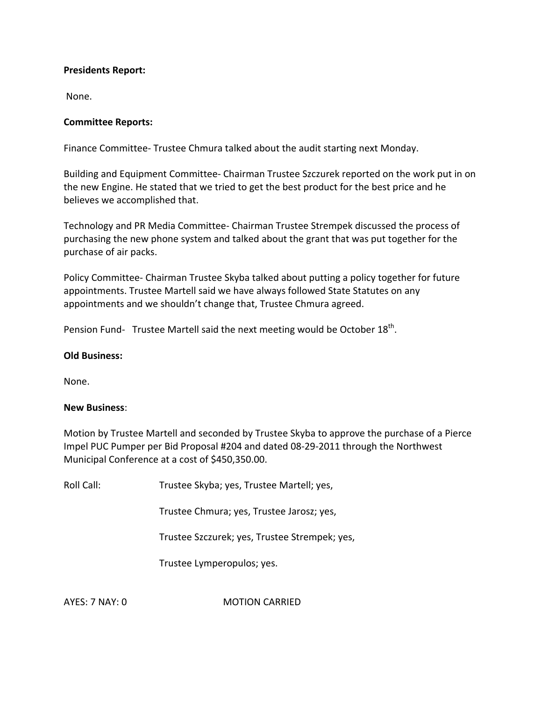## **Presidents Report:**

None.

## **Committee Reports:**

Finance Committee‐ Trustee Chmura talked about the audit starting next Monday.

Building and Equipment Committee‐ Chairman Trustee Szczurek reported on the work put in on the new Engine. He stated that we tried to get the best product for the best price and he believes we accomplished that.

Technology and PR Media Committee‐ Chairman Trustee Strempek discussed the process of purchasing the new phone system and talked about the grant that was put together for the purchase of air packs.

Policy Committee‐ Chairman Trustee Skyba talked about putting a policy together for future appointments. Trustee Martell said we have always followed State Statutes on any appointments and we shouldn't change that, Trustee Chmura agreed.

Pension Fund- Trustee Martell said the next meeting would be October  $18^{\text{th}}$ .

### **Old Business:**

None.

### **New Business**:

Motion by Trustee Martell and seconded by Trustee Skyba to approve the purchase of a Pierce Impel PUC Pumper per Bid Proposal #204 and dated 08‐29‐2011 through the Northwest Municipal Conference at a cost of \$450,350.00.

Roll Call: Trustee Skyba; yes, Trustee Martell; yes,

Trustee Chmura; yes, Trustee Jarosz; yes,

Trustee Szczurek; yes, Trustee Strempek; yes,

Trustee Lymperopulos; yes.

AYES: 7 NAY: 0 **MOTION CARRIED**